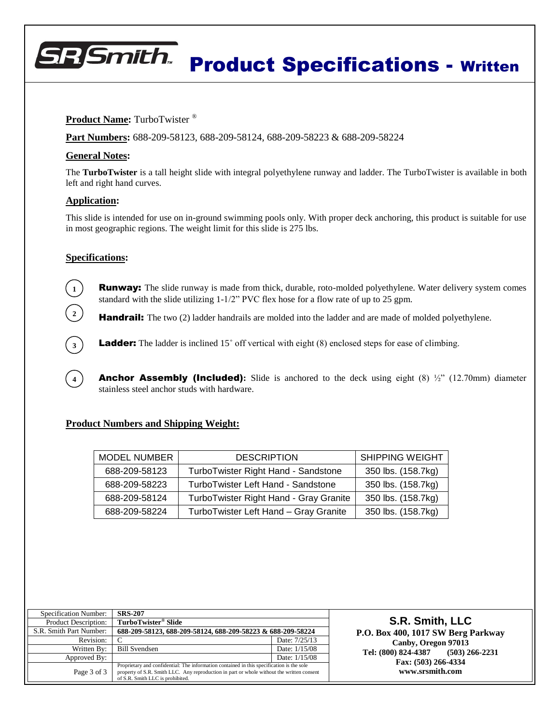# **BR** Smith Product Specifications - Written

# **Product Name:** TurboTwister<sup>®</sup>

**Part Numbers:** 688-209-58123, 688-209-58124, 688-209-58223 & 688-209-58224

## **General Notes:**

The **TurboTwister** is a tall height slide with integral polyethylene runway and ladder. The TurboTwister is available in both left and right hand curves.

#### **Application:**

This slide is intended for use on in-ground swimming pools only. With proper deck anchoring, this product is suitable for use in most geographic regions. The weight limit for this slide is 275 lbs.

### **Specifications:**

**1**

**2**

**3**

**4**

**Runway:** The slide runway is made from thick, durable, roto-molded polyethylene. Water delivery system comes standard with the slide utilizing 1-1/2" PVC flex hose for a flow rate of up to 25 gpm.

**Handrail:** The two (2) ladder handrails are molded into the ladder and are made of molded polyethylene.

**Ladder:** The ladder is inclined 15° off vertical with eight (8) enclosed steps for ease of climbing.

**Anchor Assembly (Included):** Slide is anchored to the deck using eight (8)  $\frac{1}{2}$ " (12.70mm) diameter stainless steel anchor studs with hardware.

# **Product Numbers and Shipping Weight:**

| <b>MODEL NUMBER</b> | <b>DESCRIPTION</b>                     | <b>SHIPPING WEIGHT</b> |
|---------------------|----------------------------------------|------------------------|
| 688-209-58123       | TurboTwister Right Hand - Sandstone    | 350 lbs. (158.7kg)     |
| 688-209-58223       | TurboTwister Left Hand - Sandstone     | 350 lbs. (158.7kg)     |
| 688-209-58124       | TurboTwister Right Hand - Gray Granite | 350 lbs. (158.7kg)     |
| 688-209-58224       | TurboTwister Left Hand - Gray Granite  | 350 lbs. (158.7kg)     |

| Specification Number:       | <b>SRS-207</b>                                                                                                                                                                                                             |               |
|-----------------------------|----------------------------------------------------------------------------------------------------------------------------------------------------------------------------------------------------------------------------|---------------|
| <b>Product Description:</b> | TurboTwister <sup>®</sup> Slide                                                                                                                                                                                            |               |
| S.R. Smith Part Number:     | 688-209-58123, 688-209-58124, 688-209-58223 & 688-209-58224                                                                                                                                                                |               |
| Revision:                   |                                                                                                                                                                                                                            | Date: 7/25/13 |
| Written By:                 | <b>Bill Svendsen</b>                                                                                                                                                                                                       | Date: 1/15/08 |
| Approved By:                |                                                                                                                                                                                                                            | Date: 1/15/08 |
| Page 3 of 3                 | Proprietary and confidential: The information contained in this specification is the sole<br>property of S.R. Smith LLC. Any reproduction in part or whole without the written consent<br>of S.R. Smith LLC is prohibited. |               |

**S.R. Smith, LLC P.O. Box 400, 1017 SW Berg Parkway Canby, Oregon 97013 Tel: (800) 824-4387 (503) 266-2231 Fax: (503) 266-4334 www.srsmith.com**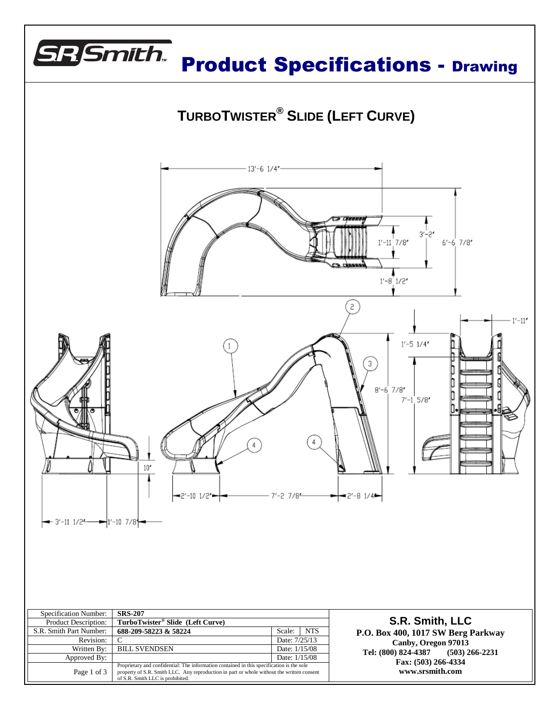